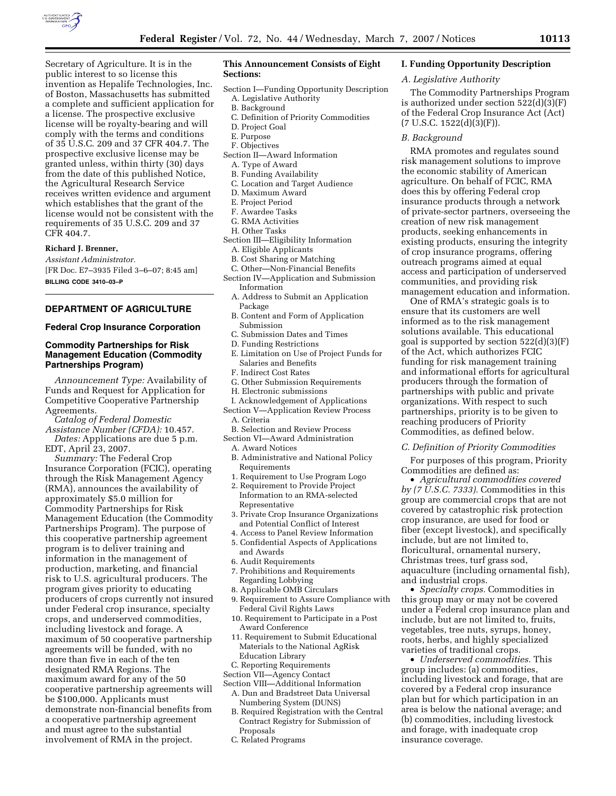

Secretary of Agriculture. It is in the public interest to so license this invention as Hepalife Technologies, Inc. of Boston, Massachusetts has submitted a complete and sufficient application for a license. The prospective exclusive license will be royalty-bearing and will comply with the terms and conditions of 35 U.S.C. 209 and 37 CFR 404.7. The prospective exclusive license may be granted unless, within thirty (30) days from the date of this published Notice, the Agricultural Research Service receives written evidence and argument which establishes that the grant of the license would not be consistent with the requirements of 35 U.S.C. 209 and 37 CFR 404.7.

## **Richard J. Brenner,**

*Assistant Administrator.*  [FR Doc. E7–3935 Filed 3–6–07; 8:45 am] **BILLING CODE 3410–03–P** 

# **DEPARTMENT OF AGRICULTURE**

#### **Federal Crop Insurance Corporation**

## **Commodity Partnerships for Risk Management Education (Commodity Partnerships Program)**

*Announcement Type:* Availability of Funds and Request for Application for Competitive Cooperative Partnership Agreements.

- *Catalog of Federal Domestic Assistance Number (CFDA):* 10.457.
- *Dates:* Applications are due 5 p.m. EDT, April 23, 2007.

*Summary:* The Federal Crop Insurance Corporation (FCIC), operating through the Risk Management Agency (RMA), announces the availability of approximately \$5.0 million for Commodity Partnerships for Risk Management Education (the Commodity Partnerships Program). The purpose of this cooperative partnership agreement program is to deliver training and information in the management of production, marketing, and financial risk to U.S. agricultural producers. The program gives priority to educating producers of crops currently not insured under Federal crop insurance, specialty crops, and underserved commodities, including livestock and forage. A maximum of 50 cooperative partnership agreements will be funded, with no more than five in each of the ten designated RMA Regions. The maximum award for any of the 50 cooperative partnership agreements will be \$100,000. Applicants must demonstrate non-financial benefits from a cooperative partnership agreement and must agree to the substantial involvement of RMA in the project.

## **This Announcement Consists of Eight Sections:**

- Section I—Funding Opportunity Description
- A. Legislative Authority
- B. Background
- C. Definition of Priority Commodities
- D. Project Goal
- E. Purpose
- F. Objectives
- Section II—Award Information
- A. Type of Award
- B. Funding Availability
- C. Location and Target Audience
- D. Maximum Award
- E. Project Period
- F. Awardee Tasks G. RMA Activities
- 
- H. Other Tasks
- Section III—Eligibility Information
	- A. Eligible Applicants
	- B. Cost Sharing or Matching C. Other—Non-Financial Benefits
- Section IV—Application and Submission Information
	- A. Address to Submit an Application Package
	- B. Content and Form of Application Submission
	- C. Submission Dates and Times
	- D. Funding Restrictions
	- E. Limitation on Use of Project Funds for Salaries and Benefits
	- F. Indirect Cost Rates
	- G. Other Submission Requirements
	- H. Electronic submissions
- I. Acknowledgement of Applications Section V—Application Review Process
	- A. Criteria
- B. Selection and Review Process Section VI—Award Administration
	- A. Award Notices
	- B. Administrative and National Policy Requirements
	- 1. Requirement to Use Program Logo
	- 2. Requirement to Provide Project Information to an RMA-selected Representative
	- 3. Private Crop Insurance Organizations and Potential Conflict of Interest
	- 4. Access to Panel Review Information
	- 5. Confidential Aspects of Applications and Awards
	- 6. Audit Requirements
	- 7. Prohibitions and Requirements Regarding Lobbying
	- 8. Applicable OMB Circulars
	- 9. Requirement to Assure Compliance with Federal Civil Rights Laws
	- 10. Requirement to Participate in a Post Award Conference
	- 11. Requirement to Submit Educational Materials to the National AgRisk Education Library
- C. Reporting Requirements
- Section VII—Agency Contact
- Section VIII—Additional Information A. Dun and Bradstreet Data Universal Numbering System (DUNS)
	- B. Required Registration with the Central Contract Registry for Submission of Proposals
	- C. Related Programs

#### **I. Funding Opportunity Description**

### *A. Legislative Authority*

The Commodity Partnerships Program is authorized under section 522(d)(3)(F) of the Federal Crop Insurance Act (Act)  $(7 \text{ U.S.C. } 1522\text{ (d)}(3)\text{ (F)}).$ 

#### *B. Background*

RMA promotes and regulates sound risk management solutions to improve the economic stability of American agriculture. On behalf of FCIC, RMA does this by offering Federal crop insurance products through a network of private-sector partners, overseeing the creation of new risk management products, seeking enhancements in existing products, ensuring the integrity of crop insurance programs, offering outreach programs aimed at equal access and participation of underserved communities, and providing risk management education and information.

One of RMA's strategic goals is to ensure that its customers are well informed as to the risk management solutions available. This educational goal is supported by section 522(d)(3)(F) of the Act, which authorizes FCIC funding for risk management training and informational efforts for agricultural producers through the formation of partnerships with public and private organizations. With respect to such partnerships, priority is to be given to reaching producers of Priority Commodities, as defined below.

#### *C. Definition of Priority Commodities*

For purposes of this program, Priority Commodities are defined as:

• *Agricultural commodities covered by (7 U.S.C. 7333).* Commodities in this group are commercial crops that are not covered by catastrophic risk protection crop insurance, are used for food or fiber (except livestock), and specifically include, but are not limited to, floricultural, ornamental nursery, Christmas trees, turf grass sod, aquaculture (including ornamental fish), and industrial crops.

• *Specialty crops.* Commodities in this group may or may not be covered under a Federal crop insurance plan and include, but are not limited to, fruits, vegetables, tree nuts, syrups, honey, roots, herbs, and highly specialized varieties of traditional crops.

• *Underserved commodities.* This group includes: (a) commodities, including livestock and forage, that are covered by a Federal crop insurance plan but for which participation in an area is below the national average; and (b) commodities, including livestock and forage, with inadequate crop insurance coverage.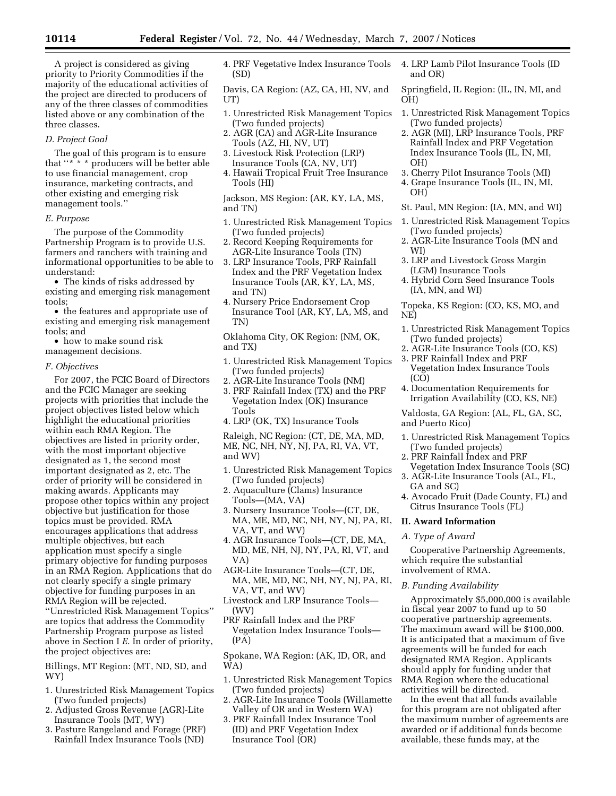A project is considered as giving priority to Priority Commodities if the majority of the educational activities of the project are directed to producers of any of the three classes of commodities listed above or any combination of the three classes.

#### *D. Project Goal*

The goal of this program is to ensure that ''\* \* \* producers will be better able to use financial management, crop insurance, marketing contracts, and other existing and emerging risk management tools.''

#### *E. Purpose*

The purpose of the Commodity Partnership Program is to provide U.S. farmers and ranchers with training and informational opportunities to be able to understand:

• The kinds of risks addressed by existing and emerging risk management tools;

• the features and appropriate use of existing and emerging risk management tools; and

• how to make sound risk management decisions.

*F. Objectives* 

For 2007, the FCIC Board of Directors and the FCIC Manager are seeking projects with priorities that include the project objectives listed below which highlight the educational priorities within each RMA Region. The objectives are listed in priority order, with the most important objective designated as 1, the second most important designated as 2, etc. The order of priority will be considered in making awards. Applicants may propose other topics within any project objective but justification for those topics must be provided. RMA encourages applications that address multiple objectives, but each application must specify a single primary objective for funding purposes in an RMA Region. Applications that do not clearly specify a single primary objective for funding purposes in an RMA Region will be rejected. ''Unrestricted Risk Management Topics'' are topics that address the Commodity Partnership Program purpose as listed above in Section I *E*. In order of priority, the project objectives are:

Billings, MT Region: (MT, ND, SD, and WY)

- 1. Unrestricted Risk Management Topics (Two funded projects)
- 2. Adjusted Gross Revenue (AGR)-Lite Insurance Tools (MT, WY)
- 3. Pasture Rangeland and Forage (PRF) Rainfall Index Insurance Tools (ND)

4. PRF Vegetative Index Insurance Tools (SD)

Davis, CA Region: (AZ, CA, HI, NV, and UT)

- 1. Unrestricted Risk Management Topics (Two funded projects)
- 2. AGR (CA) and AGR-Lite Insurance Tools (AZ, HI, NV, UT)
- 3. Livestock Risk Protection (LRP) Insurance Tools (CA, NV, UT)
- 4. Hawaii Tropical Fruit Tree Insurance Tools (HI)

Jackson, MS Region: (AR, KY, LA, MS, and TN)

- 1. Unrestricted Risk Management Topics (Two funded projects)
- 2. Record Keeping Requirements for AGR-Lite Insurance Tools (TN)
- 3. LRP Insurance Tools, PRF Rainfall Index and the PRF Vegetation Index Insurance Tools (AR, KY, LA, MS, and TN)
- 4. Nursery Price Endorsement Crop Insurance Tool (AR, KY, LA, MS, and TN)

Oklahoma City, OK Region: (NM, OK, and TX)

- 1. Unrestricted Risk Management Topics (Two funded projects)
- 2. AGR-Lite Insurance Tools (NM)
- 3. PRF Rainfall Index (TX) and the PRF Vegetation Index (OK) Insurance Tools
- 4. LRP (OK, TX) Insurance Tools

Raleigh, NC Region: (CT, DE, MA, MD, ME, NC, NH, NY, NJ, PA, RI, VA, VT, and WV)

- 1. Unrestricted Risk Management Topics (Two funded projects)
- 2. Aquaculture (Clams) Insurance Tools—(MA, VA)
- 3. Nursery Insurance Tools—(CT, DE, MA, ME, MD, NC, NH, NY, NJ, PA, RI, VA, VT, and WV)
- 4. AGR Insurance Tools—(CT, DE, MA, MD, ME, NH, NJ, NY, PA, RI, VT, and VA)
- AGR-Lite Insurance Tools—(CT, DE, MA, ME, MD, NC, NH, NY, NJ, PA, RI, VA, VT, and WV)
- Livestock and LRP Insurance Tools— (WV)
- PRF Rainfall Index and the PRF Vegetation Index Insurance Tools— (PA)

Spokane, WA Region: (AK, ID, OR, and WA)

- 1. Unrestricted Risk Management Topics (Two funded projects)
- 2. AGR-Lite Insurance Tools (Willamette Valley of OR and in Western WA)
- 3. PRF Rainfall Index Insurance Tool (ID) and PRF Vegetation Index Insurance Tool (OR)

4. LRP Lamb Pilot Insurance Tools (ID and OR)

Springfield, IL Region: (IL, IN, MI, and OH)

- 1. Unrestricted Risk Management Topics (Two funded projects)
- 2. AGR (MI), LRP Insurance Tools, PRF Rainfall Index and PRF Vegetation Index Insurance Tools (IL, IN, MI, OH)
- 3. Cherry Pilot Insurance Tools (MI) 4. Grape Insurance Tools (IL, IN, MI, OH)
- St. Paul, MN Region: (IA, MN, and WI)
- 1. Unrestricted Risk Management Topics (Two funded projects)
- 2. AGR-Lite Insurance Tools (MN and WI)
- 3. LRP and Livestock Gross Margin (LGM) Insurance Tools
- 4. Hybrid Corn Seed Insurance Tools (IA, MN, and WI)

Topeka, KS Region: (CO, KS, MO, and NE)

- 1. Unrestricted Risk Management Topics (Two funded projects)
- 2. AGR-Lite Insurance Tools (CO, KS)
- 3. PRF Rainfall Index and PRF Vegetation Index Insurance Tools (CO)
- 4. Documentation Requirements for Irrigation Availability (CO, KS, NE)

Valdosta, GA Region: (AL, FL, GA, SC, and Puerto Rico)

- 1. Unrestricted Risk Management Topics (Two funded projects)
- 2. PRF Rainfall Index and PRF
- Vegetation Index Insurance Tools (SC) 3. AGR-Lite Insurance Tools (AL, FL,
- GA and SC) 4. Avocado Fruit (Dade County, FL) and Citrus Insurance Tools (FL)

#### **II. Award Information**

#### *A. Type of Award*

Cooperative Partnership Agreements, which require the substantial involvement of RMA.

### *B. Funding Availability*

Approximately \$5,000,000 is available in fiscal year 2007 to fund up to 50 cooperative partnership agreements. The maximum award will be \$100,000. It is anticipated that a maximum of five agreements will be funded for each designated RMA Region. Applicants should apply for funding under that RMA Region where the educational activities will be directed.

In the event that all funds available for this program are not obligated after the maximum number of agreements are awarded or if additional funds become available, these funds may, at the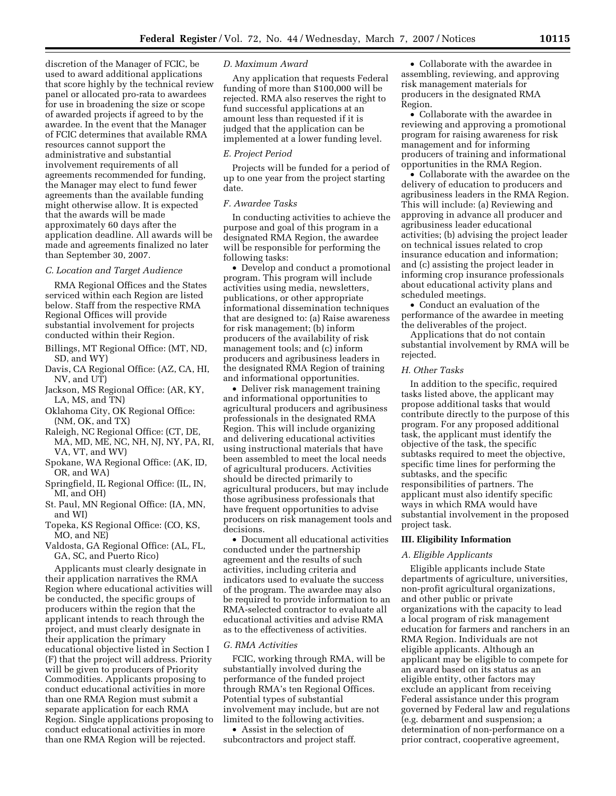discretion of the Manager of FCIC, be used to award additional applications that score highly by the technical review panel or allocated pro-rata to awardees for use in broadening the size or scope of awarded projects if agreed to by the awardee. In the event that the Manager of FCIC determines that available RMA resources cannot support the administrative and substantial involvement requirements of all agreements recommended for funding, the Manager may elect to fund fewer agreements than the available funding might otherwise allow. It is expected that the awards will be made approximately 60 days after the application deadline. All awards will be made and agreements finalized no later than September 30, 2007.

## *C. Location and Target Audience*

RMA Regional Offices and the States serviced within each Region are listed below. Staff from the respective RMA Regional Offices will provide substantial involvement for projects conducted within their Region.

- Billings, MT Regional Office: (MT, ND, SD, and WY)
- Davis, CA Regional Office: (AZ, CA, HI, NV, and UT)
- Jackson, MS Regional Office: (AR, KY, LA, MS, and TN)
- Oklahoma City, OK Regional Office: (NM, OK, and TX)
- Raleigh, NC Regional Office: (CT, DE, MA, MD, ME, NC, NH, NJ, NY, PA, RI, VA, VT, and WV)
- Spokane, WA Regional Office: (AK, ID, OR, and WA)
- Springfield, IL Regional Office: (IL, IN, MI, and OH)
- St. Paul, MN Regional Office: (IA, MN, and WI)
- Topeka, KS Regional Office: (CO, KS, MO, and NE)
- Valdosta, GA Regional Office: (AL, FL, GA, SC, and Puerto Rico)

Applicants must clearly designate in their application narratives the RMA Region where educational activities will be conducted, the specific groups of producers within the region that the applicant intends to reach through the project, and must clearly designate in their application the primary educational objective listed in Section I (F) that the project will address. Priority will be given to producers of Priority Commodities. Applicants proposing to conduct educational activities in more than one RMA Region must submit a separate application for each RMA Region. Single applications proposing to conduct educational activities in more than one RMA Region will be rejected.

## *D. Maximum Award*

Any application that requests Federal funding of more than \$100,000 will be rejected. RMA also reserves the right to fund successful applications at an amount less than requested if it is judged that the application can be implemented at a lower funding level.

### *E. Project Period*

Projects will be funded for a period of up to one year from the project starting date.

## *F. Awardee Tasks*

In conducting activities to achieve the purpose and goal of this program in a designated RMA Region, the awardee will be responsible for performing the following tasks:

• Develop and conduct a promotional program. This program will include activities using media, newsletters, publications, or other appropriate informational dissemination techniques that are designed to: (a) Raise awareness for risk management; (b) inform producers of the availability of risk management tools; and (c) inform producers and agribusiness leaders in the designated RMA Region of training and informational opportunities.

• Deliver risk management training and informational opportunities to agricultural producers and agribusiness professionals in the designated RMA Region. This will include organizing and delivering educational activities using instructional materials that have been assembled to meet the local needs of agricultural producers. Activities should be directed primarily to agricultural producers, but may include those agribusiness professionals that have frequent opportunities to advise producers on risk management tools and decisions.

• Document all educational activities conducted under the partnership agreement and the results of such activities, including criteria and indicators used to evaluate the success of the program. The awardee may also be required to provide information to an RMA-selected contractor to evaluate all educational activities and advise RMA as to the effectiveness of activities.

## *G. RMA Activities*

FCIC, working through RMA, will be substantially involved during the performance of the funded project through RMA's ten Regional Offices. Potential types of substantial involvement may include, but are not limited to the following activities.

• Assist in the selection of subcontractors and project staff.

• Collaborate with the awardee in assembling, reviewing, and approving risk management materials for producers in the designated RMA Region.

• Collaborate with the awardee in reviewing and approving a promotional program for raising awareness for risk management and for informing producers of training and informational opportunities in the RMA Region.

• Collaborate with the awardee on the delivery of education to producers and agribusiness leaders in the RMA Region. This will include: (a) Reviewing and approving in advance all producer and agribusiness leader educational activities; (b) advising the project leader on technical issues related to crop insurance education and information; and (c) assisting the project leader in informing crop insurance professionals about educational activity plans and scheduled meetings.

• Conduct an evaluation of the performance of the awardee in meeting the deliverables of the project.

Applications that do not contain substantial involvement by RMA will be rejected.

### *H. Other Tasks*

In addition to the specific, required tasks listed above, the applicant may propose additional tasks that would contribute directly to the purpose of this program. For any proposed additional task, the applicant must identify the objective of the task, the specific subtasks required to meet the objective, specific time lines for performing the subtasks, and the specific responsibilities of partners. The applicant must also identify specific ways in which RMA would have substantial involvement in the proposed project task.

#### **III. Eligibility Information**

# *A. Eligible Applicants*

Eligible applicants include State departments of agriculture, universities, non-profit agricultural organizations, and other public or private organizations with the capacity to lead a local program of risk management education for farmers and ranchers in an RMA Region. Individuals are not eligible applicants. Although an applicant may be eligible to compete for an award based on its status as an eligible entity, other factors may exclude an applicant from receiving Federal assistance under this program governed by Federal law and regulations (e.g. debarment and suspension; a determination of non-performance on a prior contract, cooperative agreement,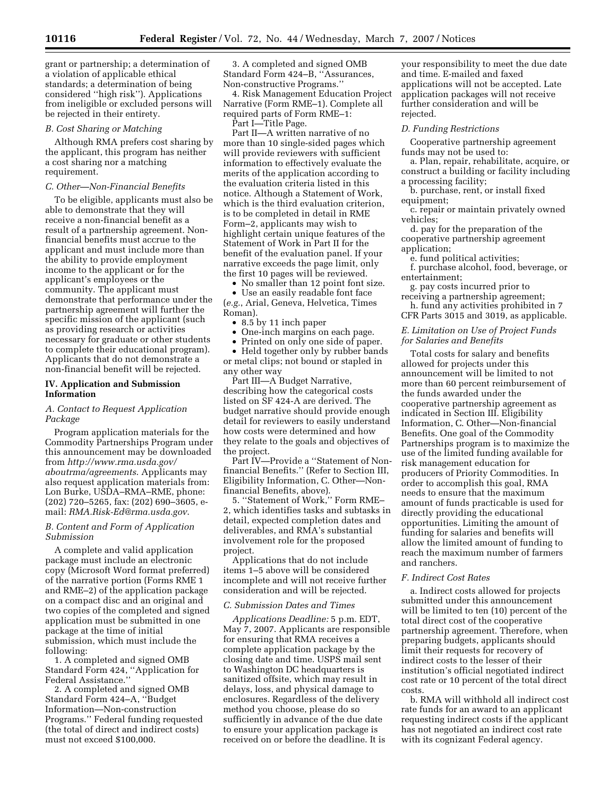grant or partnership; a determination of a violation of applicable ethical standards; a determination of being considered ''high risk''). Applications from ineligible or excluded persons will be rejected in their entirety.

#### *B. Cost Sharing or Matching*

Although RMA prefers cost sharing by the applicant, this program has neither a cost sharing nor a matching requirement.

### *C. Other—Non-Financial Benefits*

To be eligible, applicants must also be able to demonstrate that they will receive a non-financial benefit as a result of a partnership agreement. Nonfinancial benefits must accrue to the applicant and must include more than the ability to provide employment income to the applicant or for the applicant's employees or the community. The applicant must demonstrate that performance under the partnership agreement will further the specific mission of the applicant (such as providing research or activities necessary for graduate or other students to complete their educational program). Applicants that do not demonstrate a non-financial benefit will be rejected.

## **IV. Application and Submission Information**

# *A. Contact to Request Application Package*

Program application materials for the Commodity Partnerships Program under this announcement may be downloaded from *http://www.rma.usda.gov/ aboutrma/agreements*. Applicants may also request application materials from: Lon Burke, USDA–RMA–RME, phone: (202) 720–5265, fax: (202) 690–3605, email: *RMA.Risk-Ed@rma.usda.gov*.

## *B. Content and Form of Application Submission*

A complete and valid application package must include an electronic copy (Microsoft Word format preferred) of the narrative portion (Forms RME 1 and RME–2) of the application package on a compact disc and an original and two copies of the completed and signed application must be submitted in one package at the time of initial submission, which must include the following:

1. A completed and signed OMB Standard Form 424, ''Application for Federal Assistance.''

2. A completed and signed OMB Standard Form 424–A, ''Budget Information—Non-construction Programs.'' Federal funding requested (the total of direct and indirect costs) must not exceed \$100,000.

3. A completed and signed OMB Standard Form 424–B, ''Assurances, Non-constructive Programs.''

4. Risk Management Education Project Narrative (Form RME–1). Complete all required parts of Form RME–1:

Part I—Title Page.

Part II—A written narrative of no more than 10 single-sided pages which will provide reviewers with sufficient information to effectively evaluate the merits of the application according to the evaluation criteria listed in this notice. Although a Statement of Work, which is the third evaluation criterion, is to be completed in detail in RME Form–2, applicants may wish to highlight certain unique features of the Statement of Work in Part II for the benefit of the evaluation panel. If your narrative exceeds the page limit, only the first 10 pages will be reviewed.

• No smaller than 12 point font size.

• Use an easily readable font face (*e.g.*, Arial, Geneva, Helvetica, Times Roman).

- 8.5 by 11 inch paper
- One-inch margins on each page.
- Printed on only one side of paper.

• Held together only by rubber bands or metal clips; not bound or stapled in any other way

Part III—A Budget Narrative, describing how the categorical costs listed on SF 424-A are derived. The budget narrative should provide enough detail for reviewers to easily understand how costs were determined and how they relate to the goals and objectives of the project.

Part IV—Provide a ''Statement of Nonfinancial Benefits.'' (Refer to Section III, Eligibility Information, C. Other—Nonfinancial Benefits, above).

5. ''Statement of Work,'' Form RME– 2, which identifies tasks and subtasks in detail, expected completion dates and deliverables, and RMA's substantial involvement role for the proposed project.

Applications that do not include items 1–5 above will be considered incomplete and will not receive further consideration and will be rejected.

## *C. Submission Dates and Times*

*Applications Deadline:* 5 p.m. EDT, May 7, 2007. Applicants are responsible for ensuring that RMA receives a complete application package by the closing date and time. USPS mail sent to Washington DC headquarters is sanitized offsite, which may result in delays, loss, and physical damage to enclosures. Regardless of the delivery method you choose, please do so sufficiently in advance of the due date to ensure your application package is received on or before the deadline. It is

your responsibility to meet the due date and time. E-mailed and faxed applications will not be accepted. Late application packages will not receive further consideration and will be rejected.

#### *D. Funding Restrictions*

Cooperative partnership agreement funds may not be used to:

a. Plan, repair, rehabilitate, acquire, or construct a building or facility including a processing facility;

b. purchase, rent, or install fixed equipment;

c. repair or maintain privately owned vehicles;

d. pay for the preparation of the cooperative partnership agreement application;

e. fund political activities;

f. purchase alcohol, food, beverage, or entertainment;

g. pay costs incurred prior to receiving a partnership agreement;

h. fund any activities prohibited in 7 CFR Parts 3015 and 3019, as applicable.

*E. Limitation on Use of Project Funds for Salaries and Benefits* 

Total costs for salary and benefits allowed for projects under this announcement will be limited to not more than 60 percent reimbursement of the funds awarded under the cooperative partnership agreement as indicated in Section III. Eligibility Information, C. Other—Non-financial Benefits. One goal of the Commodity Partnerships program is to maximize the use of the limited funding available for risk management education for producers of Priority Commodities. In order to accomplish this goal, RMA needs to ensure that the maximum amount of funds practicable is used for directly providing the educational opportunities. Limiting the amount of funding for salaries and benefits will allow the limited amount of funding to reach the maximum number of farmers and ranchers.

#### *F. Indirect Cost Rates*

a. Indirect costs allowed for projects submitted under this announcement will be limited to ten (10) percent of the total direct cost of the cooperative partnership agreement. Therefore, when preparing budgets, applicants should limit their requests for recovery of indirect costs to the lesser of their institution's official negotiated indirect cost rate or 10 percent of the total direct costs.

b. RMA will withhold all indirect cost rate funds for an award to an applicant requesting indirect costs if the applicant has not negotiated an indirect cost rate with its cognizant Federal agency.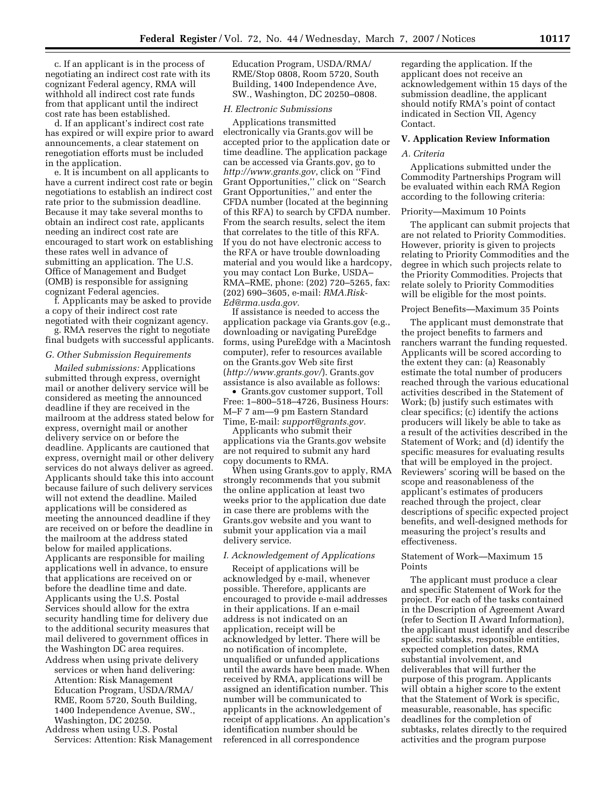c. If an applicant is in the process of negotiating an indirect cost rate with its cognizant Federal agency, RMA will withhold all indirect cost rate funds from that applicant until the indirect cost rate has been established.

d. If an applicant's indirect cost rate has expired or will expire prior to award announcements, a clear statement on renegotiation efforts must be included in the application.

e. It is incumbent on all applicants to have a current indirect cost rate or begin negotiations to establish an indirect cost rate prior to the submission deadline. Because it may take several months to obtain an indirect cost rate, applicants needing an indirect cost rate are encouraged to start work on establishing these rates well in advance of submitting an application. The U.S. Office of Management and Budget (OMB) is responsible for assigning cognizant Federal agencies.

f. Applicants may be asked to provide a copy of their indirect cost rate negotiated with their cognizant agency.

g. RMA reserves the right to negotiate final budgets with successful applicants.

### *G. Other Submission Requirements*

*Mailed submissions:* Applications submitted through express, overnight mail or another delivery service will be considered as meeting the announced deadline if they are received in the mailroom at the address stated below for express, overnight mail or another delivery service on or before the deadline. Applicants are cautioned that express, overnight mail or other delivery services do not always deliver as agreed. Applicants should take this into account because failure of such delivery services will not extend the deadline. Mailed applications will be considered as meeting the announced deadline if they are received on or before the deadline in the mailroom at the address stated below for mailed applications. Applicants are responsible for mailing applications well in advance, to ensure that applications are received on or before the deadline time and date. Applicants using the U.S. Postal Services should allow for the extra security handling time for delivery due to the additional security measures that mail delivered to government offices in the Washington DC area requires.

- Address when using private delivery services or when hand delivering: Attention: Risk Management Education Program, USDA/RMA/ RME, Room 5720, South Building, 1400 Independence Avenue, SW., Washington, DC 20250.
- Address when using U.S. Postal Services: Attention: Risk Management

Education Program, USDA/RMA/ RME/Stop 0808, Room 5720, South Building, 1400 Independence Ave, SW., Washington, DC 20250–0808.

#### *H. Electronic Submissions*

Applications transmitted electronically via Grants.gov will be accepted prior to the application date or time deadline. The application package can be accessed via Grants.gov, go to *http://www.grants.gov*, click on ''Find Grant Opportunities,'' click on ''Search Grant Opportunities,'' and enter the CFDA number (located at the beginning of this RFA) to search by CFDA number. From the search results, select the item that correlates to the title of this RFA. If you do not have electronic access to the RFA or have trouble downloading material and you would like a hardcopy, you may contact Lon Burke, USDA– RMA–RME, phone: (202) 720–5265, fax: (202) 690–3605, e-mail: *RMA.Risk-Ed@rma.usda.gov.* 

If assistance is needed to access the application package via Grants.gov (e.g., downloading or navigating PureEdge forms, using PureEdge with a Macintosh computer), refer to resources available on the Grants.gov Web site first (*http://www.grants.gov/*). Grants.gov assistance is also available as follows:

• Grants.gov customer support, Toll Free: 1–800–518–4726, Business Hours: M–F 7 am—9 pm Eastern Standard Time, E-mail: *support@grants.gov.* 

Applicants who submit their applications via the Grants.gov website are not required to submit any hard copy documents to RMA.

When using Grants.gov to apply, RMA strongly recommends that you submit the online application at least two weeks prior to the application due date in case there are problems with the Grants.gov website and you want to submit your application via a mail delivery service.

### *I. Acknowledgement of Applications*

Receipt of applications will be acknowledged by e-mail, whenever possible. Therefore, applicants are encouraged to provide e-mail addresses in their applications. If an e-mail address is not indicated on an application, receipt will be acknowledged by letter. There will be no notification of incomplete, unqualified or unfunded applications until the awards have been made. When received by RMA, applications will be assigned an identification number. This number will be communicated to applicants in the acknowledgement of receipt of applications. An application's identification number should be referenced in all correspondence

regarding the application. If the applicant does not receive an acknowledgement within 15 days of the submission deadline, the applicant should notify RMA's point of contact indicated in Section VII, Agency Contact.

## **V. Application Review Information**

## *A. Criteria*

Applications submitted under the Commodity Partnerships Program will be evaluated within each RMA Region according to the following criteria:

## Priority—Maximum 10 Points

The applicant can submit projects that are not related to Priority Commodities. However, priority is given to projects relating to Priority Commodities and the degree in which such projects relate to the Priority Commodities. Projects that relate solely to Priority Commodities will be eligible for the most points.

### Project Benefits—Maximum 35 Points

The applicant must demonstrate that the project benefits to farmers and ranchers warrant the funding requested. Applicants will be scored according to the extent they can: (a) Reasonably estimate the total number of producers reached through the various educational activities described in the Statement of Work; (b) justify such estimates with clear specifics; (c) identify the actions producers will likely be able to take as a result of the activities described in the Statement of Work; and (d) identify the specific measures for evaluating results that will be employed in the project. Reviewers' scoring will be based on the scope and reasonableness of the applicant's estimates of producers reached through the project, clear descriptions of specific expected project benefits, and well-designed methods for measuring the project's results and effectiveness.

## Statement of Work—Maximum 15 Points

The applicant must produce a clear and specific Statement of Work for the project. For each of the tasks contained in the Description of Agreement Award (refer to Section II Award Information), the applicant must identify and describe specific subtasks, responsible entities, expected completion dates, RMA substantial involvement, and deliverables that will further the purpose of this program. Applicants will obtain a higher score to the extent that the Statement of Work is specific, measurable, reasonable, has specific deadlines for the completion of subtasks, relates directly to the required activities and the program purpose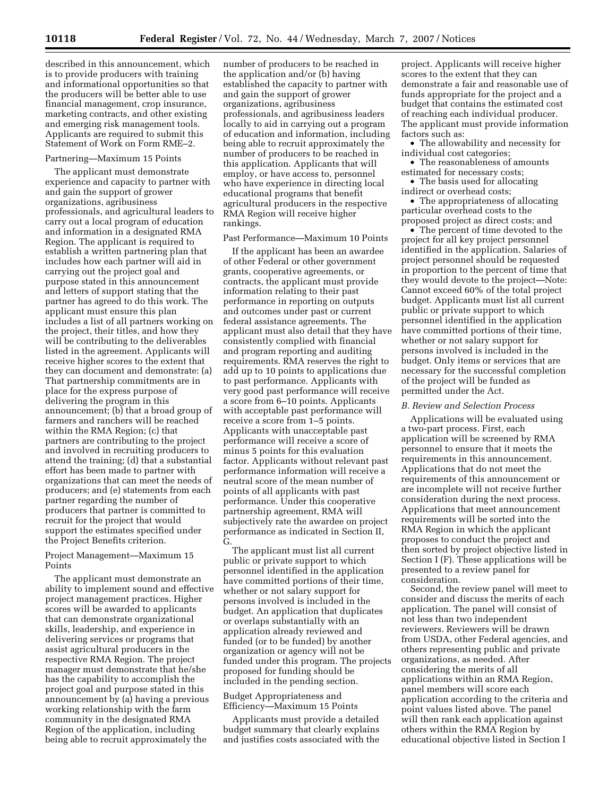described in this announcement, which is to provide producers with training and informational opportunities so that the producers will be better able to use financial management, crop insurance, marketing contracts, and other existing and emerging risk management tools. Applicants are required to submit this Statement of Work on Form RME–2.

# Partnering—Maximum 15 Points

The applicant must demonstrate experience and capacity to partner with and gain the support of grower organizations, agribusiness professionals, and agricultural leaders to carry out a local program of education and information in a designated RMA Region. The applicant is required to establish a written partnering plan that includes how each partner will aid in carrying out the project goal and purpose stated in this announcement and letters of support stating that the partner has agreed to do this work. The applicant must ensure this plan includes a list of all partners working on the project, their titles, and how they will be contributing to the deliverables listed in the agreement. Applicants will receive higher scores to the extent that they can document and demonstrate: (a) That partnership commitments are in place for the express purpose of delivering the program in this announcement; (b) that a broad group of farmers and ranchers will be reached within the RMA Region; (c) that partners are contributing to the project and involved in recruiting producers to attend the training; (d) that a substantial effort has been made to partner with organizations that can meet the needs of producers; and (e) statements from each partner regarding the number of producers that partner is committed to recruit for the project that would support the estimates specified under the Project Benefits criterion.

## Project Management—Maximum 15 Points

The applicant must demonstrate an ability to implement sound and effective project management practices. Higher scores will be awarded to applicants that can demonstrate organizational skills, leadership, and experience in delivering services or programs that assist agricultural producers in the respective RMA Region. The project manager must demonstrate that he/she has the capability to accomplish the project goal and purpose stated in this announcement by (a) having a previous working relationship with the farm community in the designated RMA Region of the application, including being able to recruit approximately the

number of producers to be reached in the application and/or (b) having established the capacity to partner with and gain the support of grower organizations, agribusiness professionals, and agribusiness leaders locally to aid in carrying out a program of education and information, including being able to recruit approximately the number of producers to be reached in this application. Applicants that will employ, or have access to, personnel who have experience in directing local educational programs that benefit agricultural producers in the respective RMA Region will receive higher rankings.

Past Performance—Maximum 10 Points

If the applicant has been an awardee of other Federal or other government grants, cooperative agreements, or contracts, the applicant must provide information relating to their past performance in reporting on outputs and outcomes under past or current federal assistance agreements. The applicant must also detail that they have consistently complied with financial and program reporting and auditing requirements. RMA reserves the right to add up to 10 points to applications due to past performance. Applicants with very good past performance will receive a score from 6–10 points. Applicants with acceptable past performance will receive a score from 1–5 points. Applicants with unacceptable past performance will receive a score of minus 5 points for this evaluation factor. Applicants without relevant past performance information will receive a neutral score of the mean number of points of all applicants with past performance. Under this cooperative partnership agreement, RMA will subjectively rate the awardee on project performance as indicated in Section II, G.

The applicant must list all current public or private support to which personnel identified in the application have committed portions of their time, whether or not salary support for persons involved is included in the budget. An application that duplicates or overlaps substantially with an application already reviewed and funded (or to be funded) by another organization or agency will not be funded under this program. The projects proposed for funding should be included in the pending section.

## Budget Appropriateness and Efficiency—Maximum 15 Points

Applicants must provide a detailed budget summary that clearly explains and justifies costs associated with the

project. Applicants will receive higher scores to the extent that they can demonstrate a fair and reasonable use of funds appropriate for the project and a budget that contains the estimated cost of reaching each individual producer. The applicant must provide information factors such as:

• The allowability and necessity for individual cost categories;

• The reasonableness of amounts estimated for necessary costs;

• The basis used for allocating indirect or overhead costs;

• The appropriateness of allocating particular overhead costs to the proposed project as direct costs; and

• The percent of time devoted to the project for all key project personnel identified in the application. Salaries of project personnel should be requested in proportion to the percent of time that they would devote to the project—Note: Cannot exceed 60% of the total project budget. Applicants must list all current public or private support to which personnel identified in the application have committed portions of their time, whether or not salary support for persons involved is included in the budget. Only items or services that are necessary for the successful completion of the project will be funded as permitted under the Act.

#### *B. Review and Selection Process*

Applications will be evaluated using a two-part process. First, each application will be screened by RMA personnel to ensure that it meets the requirements in this announcement. Applications that do not meet the requirements of this announcement or are incomplete will not receive further consideration during the next process. Applications that meet announcement requirements will be sorted into the RMA Region in which the applicant proposes to conduct the project and then sorted by project objective listed in Section I (F). These applications will be presented to a review panel for consideration.

Second, the review panel will meet to consider and discuss the merits of each application. The panel will consist of not less than two independent reviewers. Reviewers will be drawn from USDA, other Federal agencies, and others representing public and private organizations, as needed. After considering the merits of all applications within an RMA Region, panel members will score each application according to the criteria and point values listed above. The panel will then rank each application against others within the RMA Region by educational objective listed in Section I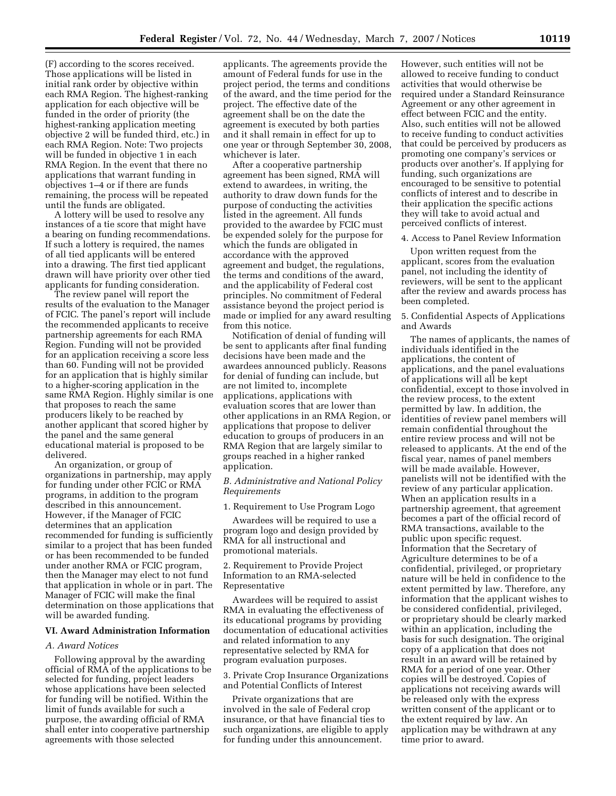(F) according to the scores received. Those applications will be listed in initial rank order by objective within each RMA Region. The highest-ranking application for each objective will be funded in the order of priority (the highest-ranking application meeting objective 2 will be funded third, etc.) in each RMA Region. Note: Two projects will be funded in objective 1 in each RMA Region. In the event that there no applications that warrant funding in objectives 1–4 or if there are funds remaining, the process will be repeated until the funds are obligated.

A lottery will be used to resolve any instances of a tie score that might have a bearing on funding recommendations. If such a lottery is required, the names of all tied applicants will be entered into a drawing. The first tied applicant drawn will have priority over other tied applicants for funding consideration.

The review panel will report the results of the evaluation to the Manager of FCIC. The panel's report will include the recommended applicants to receive partnership agreements for each RMA Region. Funding will not be provided for an application receiving a score less than 60. Funding will not be provided for an application that is highly similar to a higher-scoring application in the same RMA Region. Highly similar is one that proposes to reach the same producers likely to be reached by another applicant that scored higher by the panel and the same general educational material is proposed to be delivered.

An organization, or group of organizations in partnership, may apply for funding under other FCIC or RMA programs, in addition to the program described in this announcement. However, if the Manager of FCIC determines that an application recommended for funding is sufficiently similar to a project that has been funded or has been recommended to be funded under another RMA or FCIC program, then the Manager may elect to not fund that application in whole or in part. The Manager of FCIC will make the final determination on those applications that will be awarded funding.

# **VI. Award Administration Information**

## *A. Award Notices*

Following approval by the awarding official of RMA of the applications to be selected for funding, project leaders whose applications have been selected for funding will be notified. Within the limit of funds available for such a purpose, the awarding official of RMA shall enter into cooperative partnership agreements with those selected

applicants. The agreements provide the amount of Federal funds for use in the project period, the terms and conditions of the award, and the time period for the project. The effective date of the agreement shall be on the date the agreement is executed by both parties and it shall remain in effect for up to one year or through September 30, 2008, whichever is later.

After a cooperative partnership agreement has been signed, RMA will extend to awardees, in writing, the authority to draw down funds for the purpose of conducting the activities listed in the agreement. All funds provided to the awardee by FCIC must be expended solely for the purpose for which the funds are obligated in accordance with the approved agreement and budget, the regulations, the terms and conditions of the award, and the applicability of Federal cost principles. No commitment of Federal assistance beyond the project period is made or implied for any award resulting from this notice.

Notification of denial of funding will be sent to applicants after final funding decisions have been made and the awardees announced publicly. Reasons for denial of funding can include, but are not limited to, incomplete applications, applications with evaluation scores that are lower than other applications in an RMA Region, or applications that propose to deliver education to groups of producers in an RMA Region that are largely similar to groups reached in a higher ranked application.

## *B. Administrative and National Policy Requirements*

# 1. Requirement to Use Program Logo

Awardees will be required to use a program logo and design provided by RMA for all instructional and promotional materials.

2. Requirement to Provide Project Information to an RMA-selected Representative

Awardees will be required to assist RMA in evaluating the effectiveness of its educational programs by providing documentation of educational activities and related information to any representative selected by RMA for program evaluation purposes.

3. Private Crop Insurance Organizations and Potential Conflicts of Interest

Private organizations that are involved in the sale of Federal crop insurance, or that have financial ties to such organizations, are eligible to apply for funding under this announcement.

However, such entities will not be allowed to receive funding to conduct activities that would otherwise be required under a Standard Reinsurance Agreement or any other agreement in effect between FCIC and the entity. Also, such entities will not be allowed to receive funding to conduct activities that could be perceived by producers as promoting one company's services or products over another's. If applying for funding, such organizations are encouraged to be sensitive to potential conflicts of interest and to describe in their application the specific actions they will take to avoid actual and perceived conflicts of interest.

#### 4. Access to Panel Review Information

Upon written request from the applicant, scores from the evaluation panel, not including the identity of reviewers, will be sent to the applicant after the review and awards process has been completed.

## 5. Confidential Aspects of Applications and Awards

The names of applicants, the names of individuals identified in the applications, the content of applications, and the panel evaluations of applications will all be kept confidential, except to those involved in the review process, to the extent permitted by law. In addition, the identities of review panel members will remain confidential throughout the entire review process and will not be released to applicants. At the end of the fiscal year, names of panel members will be made available. However, panelists will not be identified with the review of any particular application. When an application results in a partnership agreement, that agreement becomes a part of the official record of RMA transactions, available to the public upon specific request. Information that the Secretary of Agriculture determines to be of a confidential, privileged, or proprietary nature will be held in confidence to the extent permitted by law. Therefore, any information that the applicant wishes to be considered confidential, privileged, or proprietary should be clearly marked within an application, including the basis for such designation. The original copy of a application that does not result in an award will be retained by RMA for a period of one year. Other copies will be destroyed. Copies of applications not receiving awards will be released only with the express written consent of the applicant or to the extent required by law. An application may be withdrawn at any time prior to award.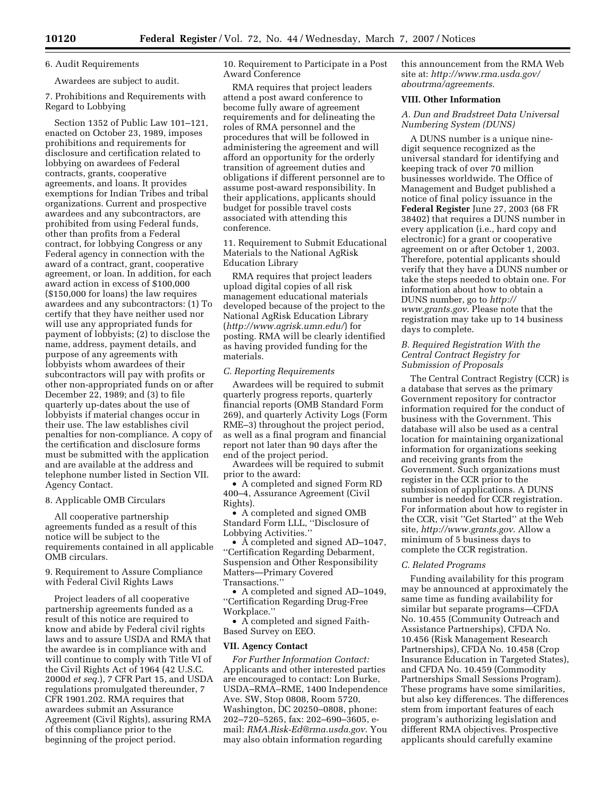## 6. Audit Requirements

Awardees are subject to audit.

7. Prohibitions and Requirements with Regard to Lobbying

Section 1352 of Public Law 101–121, enacted on October 23, 1989, imposes prohibitions and requirements for disclosure and certification related to lobbying on awardees of Federal contracts, grants, cooperative agreements, and loans. It provides exemptions for Indian Tribes and tribal organizations. Current and prospective awardees and any subcontractors, are prohibited from using Federal funds, other than profits from a Federal contract, for lobbying Congress or any Federal agency in connection with the award of a contract, grant, cooperative agreement, or loan. In addition, for each award action in excess of \$100,000 (\$150,000 for loans) the law requires awardees and any subcontractors: (1) To certify that they have neither used nor will use any appropriated funds for payment of lobbyists; (2) to disclose the name, address, payment details, and purpose of any agreements with lobbyists whom awardees of their subcontractors will pay with profits or other non-appropriated funds on or after December 22, 1989; and (3) to file quarterly up-dates about the use of lobbyists if material changes occur in their use. The law establishes civil penalties for non-compliance. A copy of the certification and disclosure forms must be submitted with the application and are available at the address and telephone number listed in Section VII. Agency Contact.

### 8. Applicable OMB Circulars

All cooperative partnership agreements funded as a result of this notice will be subject to the requirements contained in all applicable OMB circulars.

9. Requirement to Assure Compliance with Federal Civil Rights Laws

Project leaders of all cooperative partnership agreements funded as a result of this notice are required to know and abide by Federal civil rights laws and to assure USDA and RMA that the awardee is in compliance with and will continue to comply with Title VI of the Civil Rights Act of 1964 (42 U.S.C. 2000d *et seq.*), 7 CFR Part 15, and USDA regulations promulgated thereunder, 7 CFR 1901.202. RMA requires that awardees submit an Assurance Agreement (Civil Rights), assuring RMA of this compliance prior to the beginning of the project period.

10. Requirement to Participate in a Post Award Conference

RMA requires that project leaders attend a post award conference to become fully aware of agreement requirements and for delineating the roles of RMA personnel and the procedures that will be followed in administering the agreement and will afford an opportunity for the orderly transition of agreement duties and obligations if different personnel are to assume post-award responsibility. In their applications, applicants should budget for possible travel costs associated with attending this conference.

11. Requirement to Submit Educational Materials to the National AgRisk Education Library

RMA requires that project leaders upload digital copies of all risk management educational materials developed because of the project to the National AgRisk Education Library (*http://www.agrisk.umn.edu/*) for posting. RMA will be clearly identified as having provided funding for the materials.

### *C. Reporting Requirements*

Awardees will be required to submit quarterly progress reports, quarterly financial reports (OMB Standard Form 269), and quarterly Activity Logs (Form RME–3) throughout the project period, as well as a final program and financial report not later than 90 days after the end of the project period.

Awardees will be required to submit prior to the award:

• A completed and signed Form RD 400–4, Assurance Agreement (Civil Rights).

• A completed and signed OMB Standard Form LLL, ''Disclosure of Lobbying Activities.''

• A completed and signed AD–1047, ''Certification Regarding Debarment, Suspension and Other Responsibility Matters—Primary Covered Transactions.''

• A completed and signed AD–1049, ''Certification Regarding Drug-Free Workplace.''

• A completed and signed Faith-Based Survey on EEO.

## **VII. Agency Contact**

*For Further Information Contact:*  Applicants and other interested parties are encouraged to contact: Lon Burke, USDA–RMA–RME, 1400 Independence Ave. SW, Stop 0808, Room 5720, Washington, DC 20250–0808, phone: 202–720–5265, fax: 202–690–3605, email: *RMA.Risk-Ed@rma.usda.gov*. You may also obtain information regarding

this announcement from the RMA Web site at: *http://www.rma.usda.gov/ aboutrma/agreements*.

### **VIII. Other Information**

*A. Dun and Bradstreet Data Universal Numbering System (DUNS)* 

A DUNS number is a unique ninedigit sequence recognized as the universal standard for identifying and keeping track of over 70 million businesses worldwide. The Office of Management and Budget published a notice of final policy issuance in the **Federal Register** June 27, 2003 (68 FR 38402) that requires a DUNS number in every application (i.e., hard copy and electronic) for a grant or cooperative agreement on or after October 1, 2003. Therefore, potential applicants should verify that they have a DUNS number or take the steps needed to obtain one. For information about how to obtain a DUNS number, go to *http:// www.grants.gov*. Please note that the registration may take up to 14 business days to complete.

# *B. Required Registration With the Central Contract Registry for Submission of Proposals*

The Central Contract Registry (CCR) is a database that serves as the primary Government repository for contractor information required for the conduct of business with the Government. This database will also be used as a central location for maintaining organizational information for organizations seeking and receiving grants from the Government. Such organizations must register in the CCR prior to the submission of applications. A DUNS number is needed for CCR registration. For information about how to register in the CCR, visit ''Get Started'' at the Web site, *http://www.grants.gov*. Allow a minimum of 5 business days to complete the CCR registration.

#### *C. Related Programs*

Funding availability for this program may be announced at approximately the same time as funding availability for similar but separate programs—CFDA No. 10.455 (Community Outreach and Assistance Partnerships), CFDA No. 10.456 (Risk Management Research Partnerships), CFDA No. 10.458 (Crop Insurance Education in Targeted States), and CFDA No. 10.459 (Commodity Partnerships Small Sessions Program). These programs have some similarities, but also key differences. The differences stem from important features of each program's authorizing legislation and different RMA objectives. Prospective applicants should carefully examine